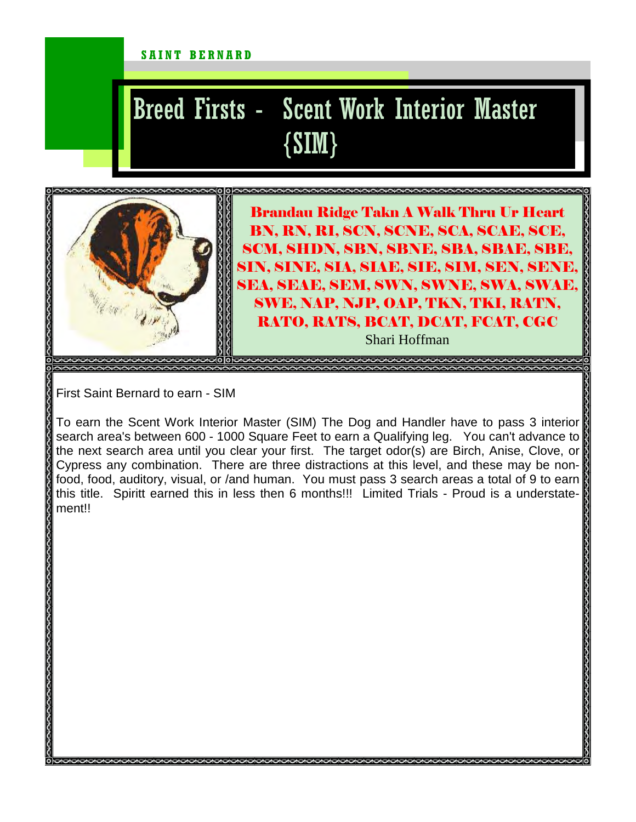## SAINT BERNARD

## Breed Firsts - Scent Work Interior Master  $\{SIM\}$



Brandau Ridge Takn A Walk Thru Ur Heart BN, RN, RI, SCN, SCNE, SCA, SCAE, SCE, SCM, SHDN, SBN, SBNE, SBA, SBAE, SBE, SIN, SINE, SIA, SIAE, SIE, SIM, SEN, SENE, SEA, SEAE, SEM, SWN, SWNE, SWA, SWAE, SWE, NAP, NJP, OAP, TKN, TKI, RATN, RATO, RATS, BCAT, DCAT, FCAT, CGC

Shari Hoffman

First Saint Bernard to earn - SIM

To earn the Scent Work Interior Master (SIM) The Dog and Handler have to pass 3 interior search area's between 600 - 1000 Square Feet to earn a Qualifying leg. You can't advance to the next search area until you clear your first. The target odor(s) are Birch, Anise, Clove, or Cypress any combination. There are three distractions at this level, and these may be nonfood, food, auditory, visual, or /and human. You must pass 3 search areas a total of 9 to earn this title. Spiritt earned this in less then 6 months!!! Limited Trials - Proud is a understatement!!